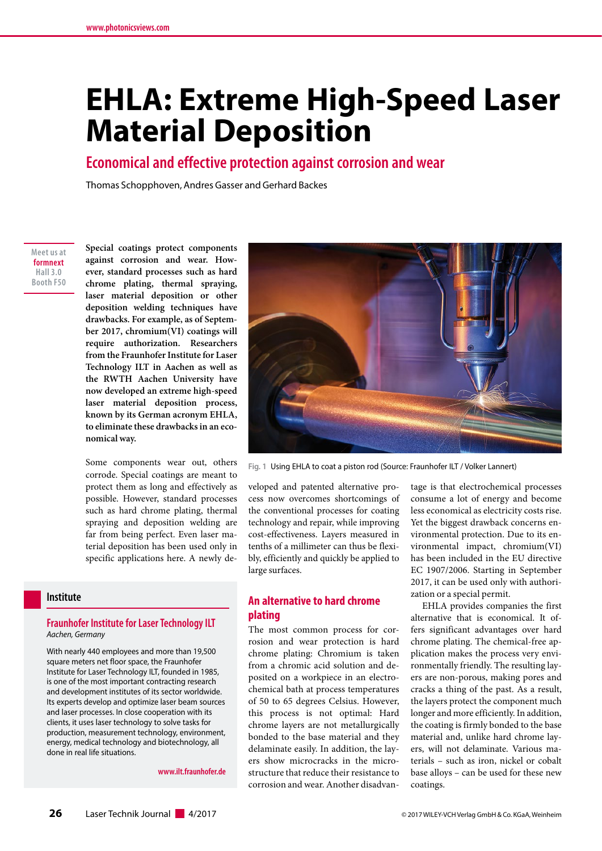# **EHLA: Extreme High-Speed Laser Material Deposition**

**Economical and effective protection against corrosion and wear**

Thomas Schopphoven, Andres Gasser and Gerhard Backes

**Meet us at formnext Hall 3.0 Booth F50**

**Special coatings protect components against corrosion and wear. However, standard processes such as hard chrome plating, thermal spraying, laser material deposition or other deposition welding techniques have drawbacks. For example, as of September 2017, chromium(VI) coatings will require authorization. Researchers from the Fraunhofer Institute for Laser Technology ILT in Aachen as well as the RWTH Aachen University have now developed an extreme high-speed laser material deposition process, known by its German acronym EHLA, to eliminate these drawbacks in an economical way.** 

Some components wear out, others corrode. Special coatings are meant to protect them as long and effectively as possible. However, standard processes such as hard chrome plating, thermal spraying and deposition welding are far from being perfect. Even laser material deposition has been used only in specific applications here. A newly de-

#### **Institute**

#### **Fraunhofer Institute for Laser Technology ILT** *Aachen, Germany*

With nearly 440 employees and more than 19,500 square meters net floor space, the Fraunhofer Institute for Laser Technology ILT, founded in 1985, is one of the most important contracting research and development institutes of its sector worldwide. Its experts develop and optimize laser beam sources and laser processes. In close cooperation with its clients, it uses laser technology to solve tasks for production, measurement technology, environment, energy, medical technology and biotechnology, all done in real life situations.

**www.ilt.fraunhofer.de**



**Fig. 1** Using EHLA to coat a piston rod (Source: Fraunhofer ILT / Volker Lannert)

veloped and patented alternative process now overcomes shortcomings of the conventional processes for coating technology and repair, while improving cost-effectiveness. Layers measured in tenths of a millimeter can thus be flexibly, efficiently and quickly be applied to large surfaces.

# **An alternative to hard chrome plating**

The most common process for corrosion and wear protection is hard chrome plating: Chromium is taken from a chromic acid solution and deposited on a workpiece in an electrochemical bath at process temperatures of 50 to 65 degrees Celsius. However, this process is not optimal: Hard chrome layers are not metallurgically bonded to the base material and they delaminate easily. In addition, the layers show microcracks in the microstructure that reduce their resistance to corrosion and wear. Another disadvan-

tage is that electrochemical processes consume a lot of energy and become less economical as electricity costs rise. Yet the biggest drawback concerns environmental protection. Due to its environmental impact, chromium(VI) has been included in the EU directive EC 1907/2006. Starting in September 2017, it can be used only with authorization or a special permit.

EHLA provides companies the first alternative that is economical. It offers significant advantages over hard chrome plating. The chemical-free application makes the process very environmentally friendly. The resulting layers are non-porous, making pores and cracks a thing of the past. As a result, the layers protect the component much longer and more efficiently. In addition, the coating is firmly bonded to the base material and, unlike hard chrome layers, will not delaminate. Various materials – such as iron, nickel or cobalt base alloys – can be used for these new coatings.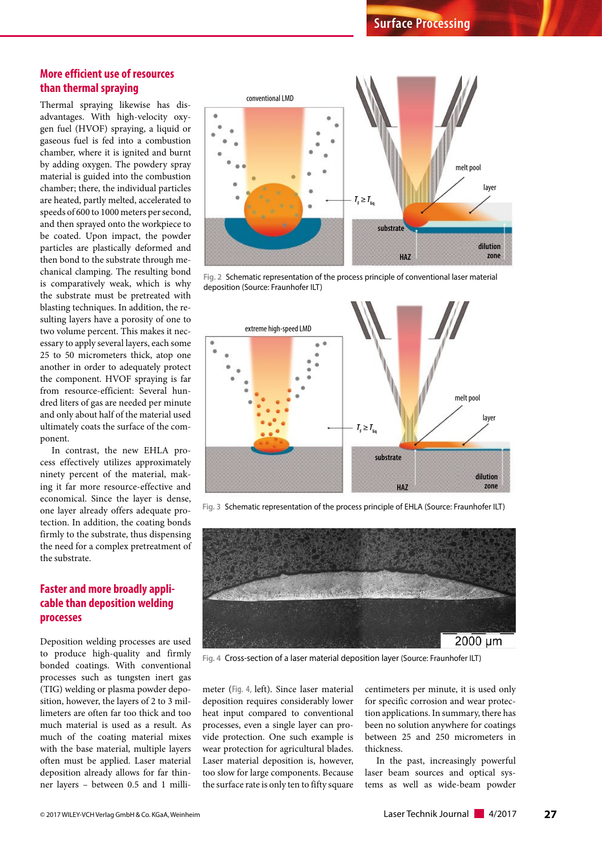# **More efficient use of resources than thermal spraying**

Thermal spraying likewise has disadvantages. With high-velocity oxygen fuel (HVOF) spraying, a liquid or gaseous fuel is fed into a combustion chamber, where it is ignited and burnt by adding oxygen. The powdery spray material is guided into the combustion chamber; there, the individual particles are heated, partly melted, accelerated to speeds of 600 to 1000 meters per second, and then sprayed onto the workpiece to be coated. Upon impact, the powder particles are plastically deformed and then bond to the substrate through mechanical clamping. The resulting bond is comparatively weak, which is why the substrate must be pretreated with blasting techniques. In addition, the resulting layers have a porosity of one to two volume percent. This makes it necessary to apply several layers, each some 25 to 50 micrometers thick, atop one another in order to adequately protect the component. HVOF spraying is far from resource-efficient: Several hundred liters of gas are needed per minute and only about half of the material used ultimately coats the surface of the component.

In contrast, the new EHLA process effectively utilizes approximately ninety percent of the material, making it far more resource-effective and economical. Since the layer is dense, one layer already offers adequate protection. In addition, the coating bonds firmly to the substrate, thus dispensing the need for a complex pretreatment of the substrate.

# **Faster and more broadly applicable than deposition welding processes**

Deposition welding processes are used to produce high-quality and firmly bonded coatings. With conventional processes such as tungsten inert gas (TIG) welding or plasma powder deposition, however, the layers of 2 to 3 millimeters are often far too thick and too much material is used as a result. As much of the coating material mixes with the base material, multiple layers often must be applied. Laser material deposition already allows for far thinner layers – between 0.5 and 1 milli-



**Fig. 2** Schematic representation of the process principle of conventional laser material deposition (Source: Fraunhofer ILT)



**Fig. 3** Schematic representation of the process principle of EHLA (Source: Fraunhofer ILT)



**Fig. 4** Cross-section of a laser material deposition layer (Source: Fraunhofer ILT)

meter (**Fig. 4,** left). Since laser material deposition requires considerably lower heat input compared to conventional processes, even a single layer can provide protection. One such example is wear protection for agricultural blades. Laser material deposition is, however, too slow for large components. Because the surface rate is only ten to fifty square

centimeters per minute, it is used only for specific corrosion and wear protection applications. In summary, there has been no solution anywhere for coatings between 25 and 250 micrometers in thickness.

In the past, increasingly powerful laser beam sources and optical systems as well as wide-beam powder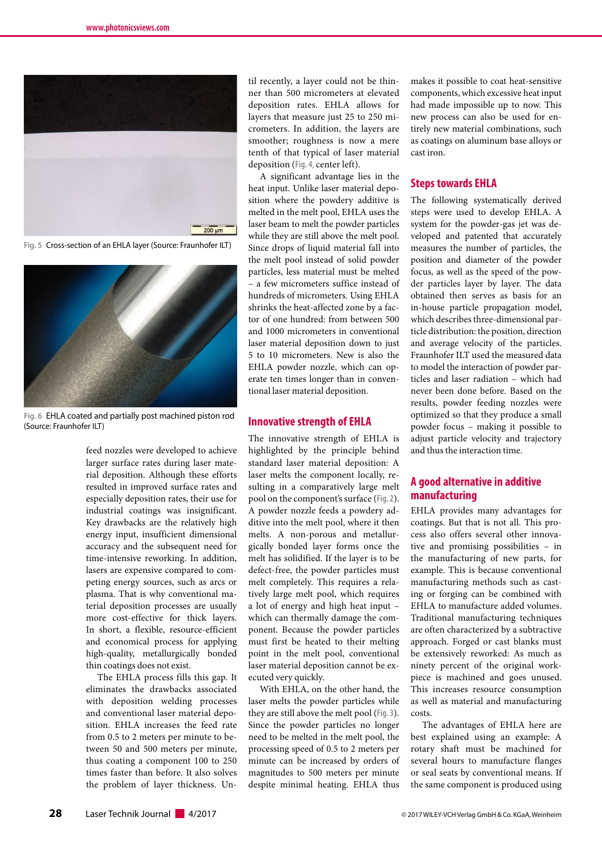

**Fig. 5** Cross-section of an EHLA layer (Source: Fraunhofer ILT)



**Fig. 6** EHLA coated and partially post machined piston rod (Source: Fraunhofer ILT)

feed nozzles were developed to achieve larger surface rates during laser material deposition. Although these efforts resulted in improved surface rates and especially deposition rates, their use for industrial coatings was insignificant. Key drawbacks are the relatively high energy input, insufficient dimensional accuracy and the subsequent need for time-intensive reworking. In addition, lasers are expensive compared to competing energy sources, such as arcs or plasma. That is why conventional material deposition processes are usually more cost-effective for thick layers. In short, a flexible, resource-efficient and economical process for applying high-quality, metallurgically bonded thin coatings does not exist.

The EHLA process fills this gap. It eliminates the drawbacks associated with deposition welding processes and conventional laser material deposition. EHLA increases the feed rate from 0.5 to 2 meters per minute to between 50 and 500 meters per minute, thus coating a component 100 to 250 times faster than before. It also solves the problem of layer thickness. Un-

til recently, a layer could not be thinner than 500 micrometers at elevated deposition rates. EHLA allows for layers that measure just 25 to 250 micrometers. In addition, the layers are smoother; roughness is now a mere tenth of that typical of laser material deposition (**Fig. 4,** center left).

A significant advantage lies in the heat input. Unlike laser material deposition where the powdery additive is melted in the melt pool, EHLA uses the laser beam to melt the powder particles while they are still above the melt pool. Since drops of liquid material fall into the melt pool instead of solid powder particles, less material must be melted – a few micrometers suffice instead of hundreds of micrometers. Using EHLA shrinks the heat-affected zone by a factor of one hundred: from between 500 and 1000 micrometers in conventional laser material deposition down to just 5 to 10 micrometers. New is also the EHLA powder nozzle, which can operate ten times longer than in conventional laser material deposition.

#### **Innovative strength of EHLA**

The innovative strength of EHLA is highlighted by the principle behind standard laser material deposition: A laser melts the component locally, resulting in a comparatively large melt pool on the component's surface (**Fig. 2**). A powder nozzle feeds a powdery additive into the melt pool, where it then melts. A non-porous and metallurgically bonded layer forms once the melt has solidified. If the layer is to be defect-free, the powder particles must melt completely. This requires a relatively large melt pool, which requires a lot of energy and high heat input – which can thermally damage the component. Because the powder particles must first be heated to their melting point in the melt pool, conventional laser material deposition cannot be executed very quickly.

With EHLA, on the other hand, the laser melts the powder particles while they are still above the melt pool (**Fig. 3**). Since the powder particles no longer need to be melted in the melt pool, the processing speed of 0.5 to 2 meters per minute can be increased by orders of magnitudes to 500 meters per minute despite minimal heating. EHLA thus

makes it possible to coat heat-sensitive components, which excessive heat input had made impossible up to now. This new process can also be used for entirely new material combinations, such as coatings on aluminum base alloys or cast iron.

#### **Steps towards EHLA**

The following systematically derived steps were used to develop EHLA. A system for the powder-gas jet was developed and patented that accurately measures the number of particles, the position and diameter of the powder focus, as well as the speed of the powder particles layer by layer. The data obtained then serves as basis for an in-house particle propagation model, which describes three-dimensional particle distribution: the position, direction and average velocity of the particles. Fraunhofer ILT used the measured data to model the interaction of powder particles and laser radiation – which had never been done before. Based on the results, powder feeding nozzles were optimized so that they produce a small powder focus – making it possible to adjust particle velocity and trajectory and thus the interaction time.

# **A good alternative in additive manufacturing**

EHLA provides many advantages for coatings. But that is not all. This process also offers several other innovative and promising possibilities – in the manufacturing of new parts, for example. This is because conventional manufacturing methods such as casting or forging can be combined with EHLA to manufacture added volumes. Traditional manufacturing techniques are often characterized by a subtractive approach. Forged or cast blanks must be extensively reworked: As much as ninety percent of the original workpiece is machined and goes unused. This increases resource consumption as well as material and manufacturing costs.

The advantages of EHLA here are best explained using an example: A rotary shaft must be machined for several hours to manufacture flanges or seal seats by conventional means. If the same component is produced using